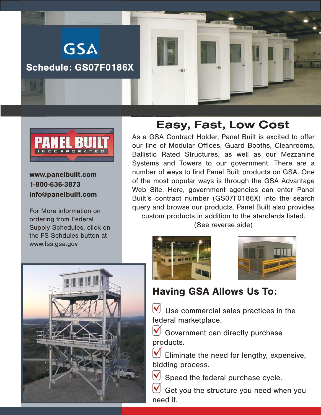



www.panelbuilt.com 1-800-636-3873 info@panelbuilt.com

For More information on ordering from Federal Supply Schedules, click on the FS Schdules button at www.fss.gsa.gov

## Easy, Fast, Low Cost

As a GSA Contract Holder, Panel Built is excited to offer our line of Modular Offices, Guard Booths, Cleanrooms, Ballistic Rated Structures, as well as our Mezzanine Systems and Towers to our government. There are a number of ways to find Panel Built products on GSA. One of the most popular ways is through the GSA Advantage Web Site. Here, government agencies can enter Panel Built's contract number (GS07F0186X) into the search query and browse our products. Panel Built also provides custom products in addition to the standards listed. (See reverse side)







## Having GSA Allows Us To:

 $\bigvee$  Use commercial sales practices in the federal marketplace.

 Government can directly purchase products.

 Eliminate the need for lengthy, expensive, bidding process.

Speed the federal purchase cycle.

 Get you the structure you need when you need it.